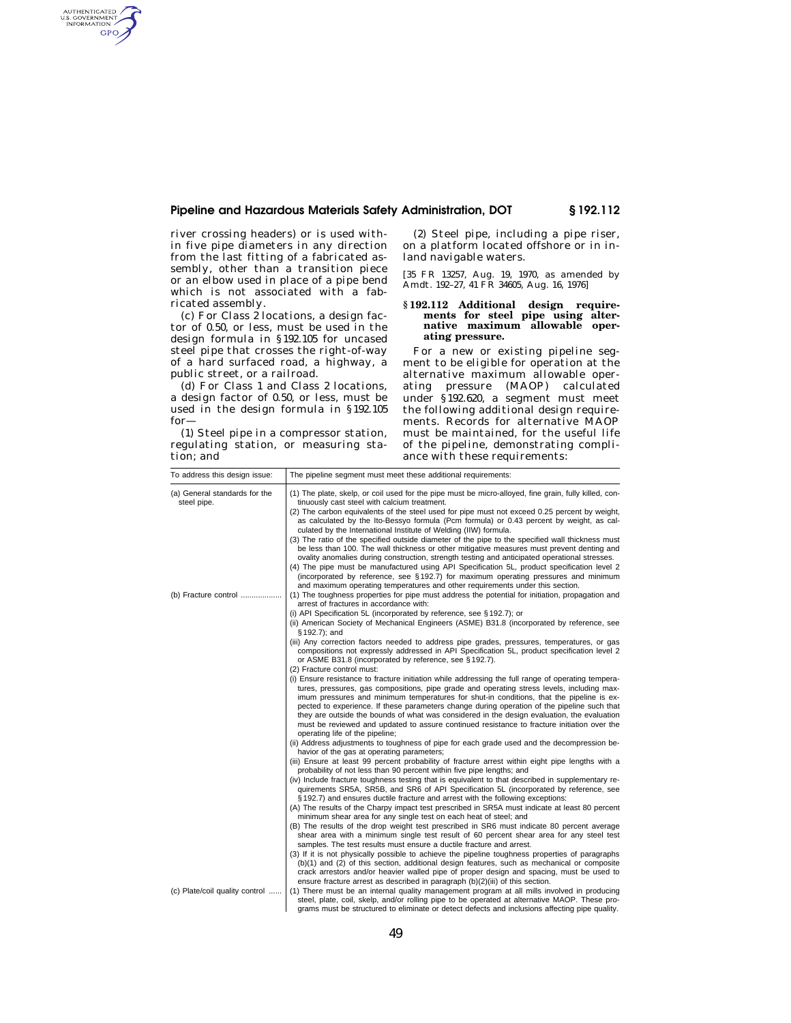#### **Pipeline and Hazardous Materials Safety Administration, DOT § 192.112**

river crossing headers) or is used within five pipe diameters in any direction from the last fitting of a fabricated assembly, other than a transition piece or an elbow used in place of a pipe bend which is not associated with a fabricated assembly.

AUTHENTICATED<br>U.S. GOVERNMENT<br>INFORMATION GPO

> (c) For Class 2 locations, a design factor of 0.50, or less, must be used in the design formula in §192.105 for uncased steel pipe that crosses the right-of-way of a hard surfaced road, a highway, a public street, or a railroad.

> (d) For Class 1 and Class 2 locations, a design factor of 0.50, or less, must be used in the design formula in §192.105 for—

> (1) Steel pipe in a compressor station, regulating station, or measuring station; and

(2) Steel pipe, including a pipe riser, on a platform located offshore or in inland navigable waters.

[35 FR 13257, Aug. 19, 1970, as amended by Amdt. 192–27, 41 FR 34605, Aug. 16, 1976]

#### **§ 192.112 Additional design requirements for steel pipe using alternative maximum allowable operating pressure.**

For a new or existing pipeline segment to be eligible for operation at the alternative maximum allowable operating pressure (MAOP) calculated under §192.620, a segment must meet the following additional design requirements. Records for alternative MAOP must be maintained, for the useful life of the pipeline, demonstrating compliance with these requirements:

| To address this design issue:                | The pipeline segment must meet these additional requirements:                                                                                                                                                                                                                                                                                                                                                                                                                                                                                                                             |
|----------------------------------------------|-------------------------------------------------------------------------------------------------------------------------------------------------------------------------------------------------------------------------------------------------------------------------------------------------------------------------------------------------------------------------------------------------------------------------------------------------------------------------------------------------------------------------------------------------------------------------------------------|
| (a) General standards for the<br>steel pipe. | (1) The plate, skelp, or coil used for the pipe must be micro-alloyed, fine grain, fully killed, con-<br>tinuously cast steel with calcium treatment.                                                                                                                                                                                                                                                                                                                                                                                                                                     |
|                                              | (2) The carbon equivalents of the steel used for pipe must not exceed 0.25 percent by weight,<br>as calculated by the Ito-Bessyo formula (Pcm formula) or 0.43 percent by weight, as cal-<br>culated by the International Institute of Welding (IIW) formula.                                                                                                                                                                                                                                                                                                                             |
|                                              | (3) The ratio of the specified outside diameter of the pipe to the specified wall thickness must<br>be less than 100. The wall thickness or other mitigative measures must prevent denting and<br>ovality anomalies during construction, strength testing and anticipated operational stresses.<br>(4) The pipe must be manufactured using API Specification 5L, product specification level 2                                                                                                                                                                                            |
|                                              | (incorporated by reference, see §192.7) for maximum operating pressures and minimum<br>and maximum operating temperatures and other requirements under this section.                                                                                                                                                                                                                                                                                                                                                                                                                      |
| (b) Fracture control                         | (1) The toughness properties for pipe must address the potential for initiation, propagation and<br>arrest of fractures in accordance with:                                                                                                                                                                                                                                                                                                                                                                                                                                               |
|                                              | (i) API Specification 5L (incorporated by reference, see § 192.7); or                                                                                                                                                                                                                                                                                                                                                                                                                                                                                                                     |
|                                              | (ii) American Society of Mechanical Engineers (ASME) B31.8 (incorporated by reference, see<br>$§ 192.7$ ; and                                                                                                                                                                                                                                                                                                                                                                                                                                                                             |
|                                              | (iii) Any correction factors needed to address pipe grades, pressures, temperatures, or gas<br>compositions not expressly addressed in API Specification 5L, product specification level 2<br>or ASME B31.8 (incorporated by reference, see §192.7).                                                                                                                                                                                                                                                                                                                                      |
|                                              | (2) Fracture control must:                                                                                                                                                                                                                                                                                                                                                                                                                                                                                                                                                                |
|                                              | (i) Ensure resistance to fracture initiation while addressing the full range of operating tempera-<br>tures, pressures, gas compositions, pipe grade and operating stress levels, including max-<br>imum pressures and minimum temperatures for shut-in conditions, that the pipeline is ex-<br>pected to experience. If these parameters change during operation of the pipeline such that<br>they are outside the bounds of what was considered in the design evaluation, the evaluation<br>must be reviewed and updated to assure continued resistance to fracture initiation over the |
|                                              | operating life of the pipeline;<br>(ii) Address adjustments to toughness of pipe for each grade used and the decompression be-                                                                                                                                                                                                                                                                                                                                                                                                                                                            |
|                                              | havior of the gas at operating parameters;<br>(iii) Ensure at least 99 percent probability of fracture arrest within eight pipe lengths with a                                                                                                                                                                                                                                                                                                                                                                                                                                            |
|                                              | probability of not less than 90 percent within five pipe lengths; and                                                                                                                                                                                                                                                                                                                                                                                                                                                                                                                     |
|                                              | (iv) Include fracture toughness testing that is equivalent to that described in supplementary re-<br>quirements SR5A, SR5B, and SR6 of API Specification 5L (incorporated by reference, see                                                                                                                                                                                                                                                                                                                                                                                               |
|                                              | §192.7) and ensures ductile fracture and arrest with the following exceptions:<br>(A) The results of the Charpy impact test prescribed in SR5A must indicate at least 80 percent<br>minimum shear area for any single test on each heat of steel; and                                                                                                                                                                                                                                                                                                                                     |
|                                              | (B) The results of the drop weight test prescribed in SR6 must indicate 80 percent average<br>shear area with a minimum single test result of 60 percent shear area for any steel test                                                                                                                                                                                                                                                                                                                                                                                                    |
|                                              | samples. The test results must ensure a ductile fracture and arrest.<br>(3) If it is not physically possible to achieve the pipeline toughness properties of paragraphs<br>(b)(1) and (2) of this section, additional design features, such as mechanical or composite                                                                                                                                                                                                                                                                                                                    |
|                                              | crack arrestors and/or heavier walled pipe of proper design and spacing, must be used to<br>ensure fracture arrest as described in paragraph (b)(2)(iii) of this section.                                                                                                                                                                                                                                                                                                                                                                                                                 |
| (c) Plate/coil quality control               | (1) There must be an internal quality management program at all mills involved in producing<br>steel, plate, coil, skelp, and/or rolling pipe to be operated at alternative MAOP. These pro-<br>grams must be structured to eliminate or detect defects and inclusions affecting pipe quality.                                                                                                                                                                                                                                                                                            |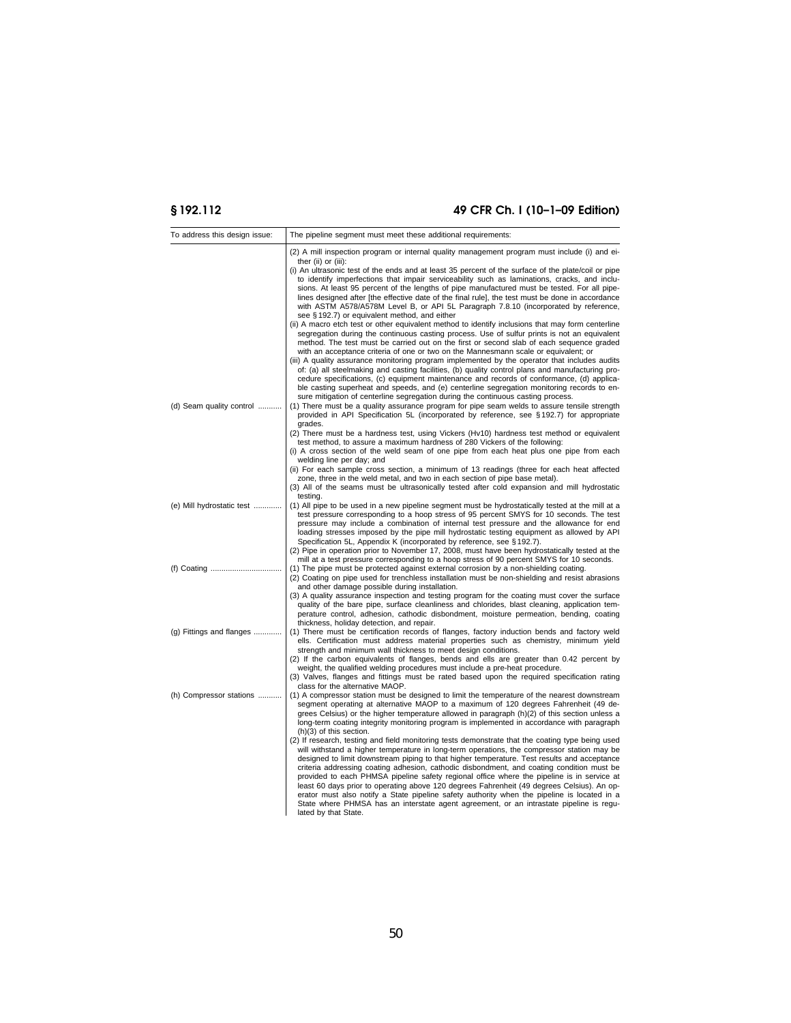# **§ 192.112 49 CFR Ch. I (10–1–09 Edition)**

| To address this design issue: | The pipeline segment must meet these additional requirements:                                                                                                                                                                                                                                                                                                                                                                                                                                                                                                                                                                                                                                                                                                                                                                                                                                                                                                                                                                                                                                                                                                                                                                                                                                                                                                                                                                                                                                                                                                                                                                                       |
|-------------------------------|-----------------------------------------------------------------------------------------------------------------------------------------------------------------------------------------------------------------------------------------------------------------------------------------------------------------------------------------------------------------------------------------------------------------------------------------------------------------------------------------------------------------------------------------------------------------------------------------------------------------------------------------------------------------------------------------------------------------------------------------------------------------------------------------------------------------------------------------------------------------------------------------------------------------------------------------------------------------------------------------------------------------------------------------------------------------------------------------------------------------------------------------------------------------------------------------------------------------------------------------------------------------------------------------------------------------------------------------------------------------------------------------------------------------------------------------------------------------------------------------------------------------------------------------------------------------------------------------------------------------------------------------------------|
|                               | (2) A mill inspection program or internal quality management program must include (i) and ei-                                                                                                                                                                                                                                                                                                                                                                                                                                                                                                                                                                                                                                                                                                                                                                                                                                                                                                                                                                                                                                                                                                                                                                                                                                                                                                                                                                                                                                                                                                                                                       |
| (d) Seam quality control      | ther $(ii)$ or $(iii)$ :<br>(i) An ultrasonic test of the ends and at least 35 percent of the surface of the plate/coil or pipe<br>to identify imperfections that impair serviceability such as laminations, cracks, and inclu-<br>sions. At least 95 percent of the lengths of pipe manufactured must be tested. For all pipe-<br>lines designed after [the effective date of the final rule], the test must be done in accordance<br>with ASTM A578/A578M Level B, or API 5L Paragraph 7.8.10 (incorporated by reference,<br>see §192.7) or equivalent method, and either<br>(ii) A macro etch test or other equivalent method to identify inclusions that may form centerline<br>segregation during the continuous casting process. Use of sulfur prints is not an equivalent<br>method. The test must be carried out on the first or second slab of each sequence graded<br>with an acceptance criteria of one or two on the Mannesmann scale or equivalent; or<br>(iii) A quality assurance monitoring program implemented by the operator that includes audits<br>of: (a) all steelmaking and casting facilities, (b) quality control plans and manufacturing pro-<br>cedure specifications, (c) equipment maintenance and records of conformance, (d) applica-<br>ble casting superheat and speeds, and (e) centerline segregation monitoring records to en-<br>sure mitigation of centerline segregation during the continuous casting process.<br>(1) There must be a quality assurance program for pipe seam welds to assure tensile strength<br>provided in API Specification 5L (incorporated by reference, see §192.7) for appropriate |
|                               | grades.<br>(2) There must be a hardness test, using Vickers (Hv10) hardness test method or equivalent<br>test method, to assure a maximum hardness of 280 Vickers of the following:<br>(i) A cross section of the weld seam of one pipe from each heat plus one pipe from each                                                                                                                                                                                                                                                                                                                                                                                                                                                                                                                                                                                                                                                                                                                                                                                                                                                                                                                                                                                                                                                                                                                                                                                                                                                                                                                                                                      |
|                               | welding line per day; and<br>(ii) For each sample cross section, a minimum of 13 readings (three for each heat affected<br>zone, three in the weld metal, and two in each section of pipe base metal).<br>(3) All of the seams must be ultrasonically tested after cold expansion and mill hydrostatic<br>testing.                                                                                                                                                                                                                                                                                                                                                                                                                                                                                                                                                                                                                                                                                                                                                                                                                                                                                                                                                                                                                                                                                                                                                                                                                                                                                                                                  |
| (e) Mill hydrostatic test     | (1) All pipe to be used in a new pipeline segment must be hydrostatically tested at the mill at a<br>test pressure corresponding to a hoop stress of 95 percent SMYS for 10 seconds. The test<br>pressure may include a combination of internal test pressure and the allowance for end<br>loading stresses imposed by the pipe mill hydrostatic testing equipment as allowed by API<br>Specification 5L, Appendix K (incorporated by reference, see §192.7).<br>(2) Pipe in operation prior to November 17, 2008, must have been hydrostatically tested at the<br>mill at a test pressure corresponding to a hoop stress of 90 percent SMYS for 10 seconds.                                                                                                                                                                                                                                                                                                                                                                                                                                                                                                                                                                                                                                                                                                                                                                                                                                                                                                                                                                                        |
|                               | (1) The pipe must be protected against external corrosion by a non-shielding coating.<br>(2) Coating on pipe used for trenchless installation must be non-shielding and resist abrasions<br>and other damage possible during installation.<br>(3) A quality assurance inspection and testing program for the coating must cover the surface<br>quality of the bare pipe, surface cleanliness and chlorides, blast cleaning, application tem-<br>perature control, adhesion, cathodic disbondment, moisture permeation, bending, coating                                                                                                                                                                                                                                                                                                                                                                                                                                                                                                                                                                                                                                                                                                                                                                                                                                                                                                                                                                                                                                                                                                             |
| (g) Fittings and flanges      | thickness, holiday detection, and repair.<br>(1) There must be certification records of flanges, factory induction bends and factory weld<br>ells. Certification must address material properties such as chemistry, minimum yield<br>strength and minimum wall thickness to meet design conditions.<br>(2) If the carbon equivalents of flanges, bends and ells are greater than 0.42 percent by<br>weight, the qualified welding procedures must include a pre-heat procedure.<br>(3) Valves, flanges and fittings must be rated based upon the required specification rating                                                                                                                                                                                                                                                                                                                                                                                                                                                                                                                                                                                                                                                                                                                                                                                                                                                                                                                                                                                                                                                                     |
| (h) Compressor stations       | class for the alternative MAOP.<br>(1) A compressor station must be designed to limit the temperature of the nearest downstream<br>segment operating at alternative MAOP to a maximum of 120 degrees Fahrenheit (49 de-<br>grees Celsius) or the higher temperature allowed in paragraph $(h)(2)$ of this section unless a<br>long-term coating integrity monitoring program is implemented in accordance with paragraph<br>(h)(3) of this section.                                                                                                                                                                                                                                                                                                                                                                                                                                                                                                                                                                                                                                                                                                                                                                                                                                                                                                                                                                                                                                                                                                                                                                                                 |
|                               | (2) If research, testing and field monitoring tests demonstrate that the coating type being used<br>will withstand a higher temperature in long-term operations, the compressor station may be<br>designed to limit downstream piping to that higher temperature. Test results and acceptance<br>criteria addressing coating adhesion, cathodic disbondment, and coating condition must be<br>provided to each PHMSA pipeline safety regional office where the pipeline is in service at<br>least 60 days prior to operating above 120 degrees Fahrenheit (49 degrees Celsius). An op-<br>erator must also notify a State pipeline safety authority when the pipeline is located in a<br>State where PHMSA has an interstate agent agreement, or an intrastate pipeline is regu-<br>lated by that State.                                                                                                                                                                                                                                                                                                                                                                                                                                                                                                                                                                                                                                                                                                                                                                                                                                            |